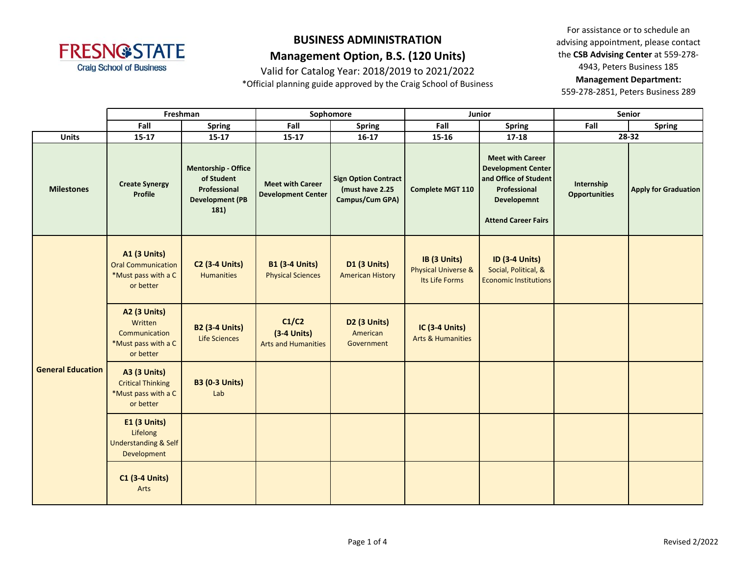

Valid for Catalog Year: 2018/2019 to 2021/2022

\*Official planning guide approved by the Craig School of Business

For assistance or to schedule an advising appointment, please contact the **CSB Advising Center** at 559-278- 4943, Peters Business 185 **Management Department:** 

|                          | Freshman                                                                             |                                                                                            | Sophomore                                            |                                                                   | Junior                                                           |                                                                                                                                            | <b>Senior</b>                      |                             |
|--------------------------|--------------------------------------------------------------------------------------|--------------------------------------------------------------------------------------------|------------------------------------------------------|-------------------------------------------------------------------|------------------------------------------------------------------|--------------------------------------------------------------------------------------------------------------------------------------------|------------------------------------|-----------------------------|
|                          | Fall                                                                                 | Spring                                                                                     | Fall                                                 | <b>Spring</b>                                                     | Fall                                                             | <b>Spring</b>                                                                                                                              | Fall                               | <b>Spring</b>               |
| <b>Units</b>             | $15 - 17$                                                                            | $15 - 17$                                                                                  | $15 - 17$                                            | $16-17$                                                           | $15 - 16$                                                        | $17 - 18$                                                                                                                                  |                                    | $28 - 32$                   |
| <b>Milestones</b>        | <b>Create Synergy</b><br><b>Profile</b>                                              | <b>Mentorship - Office</b><br>of Student<br>Professional<br><b>Development (PB</b><br>181) | <b>Meet with Career</b><br><b>Development Center</b> | <b>Sign Option Contract</b><br>(must have 2.25<br>Campus/Cum GPA) | <b>Complete MGT 110</b>                                          | <b>Meet with Career</b><br><b>Development Center</b><br>and Office of Student<br>Professional<br>Developemnt<br><b>Attend Career Fairs</b> | Internship<br><b>Opportunities</b> | <b>Apply for Graduation</b> |
| <b>General Education</b> | <b>A1 (3 Units)</b><br><b>Oral Communication</b><br>*Must pass with a C<br>or better | <b>C2 (3-4 Units)</b><br><b>Humanities</b>                                                 | <b>B1 (3-4 Units)</b><br><b>Physical Sciences</b>    | <b>D1 (3 Units)</b><br><b>American History</b>                    | IB (3 Units)<br><b>Physical Universe &amp;</b><br>Its Life Forms | <b>ID (3-4 Units)</b><br>Social, Political, &<br><b>Economic Institutions</b>                                                              |                                    |                             |
|                          | <b>A2 (3 Units)</b><br>Written<br>Communication<br>*Must pass with a C<br>or better  | <b>B2 (3-4 Units)</b><br>Life Sciences                                                     | C1/C2<br>$(3-4$ Units)<br><b>Arts and Humanities</b> | D2 (3 Units)<br>American<br>Government                            | <b>IC (3-4 Units)</b><br><b>Arts &amp; Humanities</b>            |                                                                                                                                            |                                    |                             |
|                          | <b>A3 (3 Units)</b><br><b>Critical Thinking</b><br>*Must pass with a C<br>or better  | <b>B3 (0-3 Units)</b><br>Lab                                                               |                                                      |                                                                   |                                                                  |                                                                                                                                            |                                    |                             |
|                          | <b>E1 (3 Units)</b><br>Lifelong<br><b>Understanding &amp; Self</b><br>Development    |                                                                                            |                                                      |                                                                   |                                                                  |                                                                                                                                            |                                    |                             |
|                          | <b>C1 (3-4 Units)</b><br>Arts                                                        |                                                                                            |                                                      |                                                                   |                                                                  |                                                                                                                                            |                                    |                             |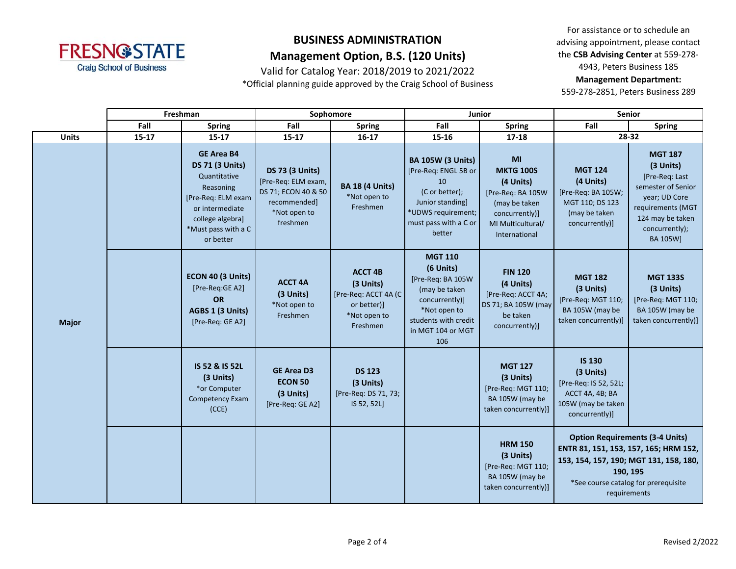

Valid for Catalog Year: 2018/2019 to 2021/2022

\*Official planning guide approved by the Craig School of Business

For assistance or to schedule an advising appointment, please contact the **CSB Advising Center** at 559-278- 4943, Peters Business 185 **Management Department:** 

|              | Freshman  |                                                                                                                                                                           | Sophomore                                                                                                        |                                                                                                | Junior                                                                                                                                                  |                                                                                                                                   | <b>Senior</b>                                                                                                                                                                                 |                                                                                                                                                             |
|--------------|-----------|---------------------------------------------------------------------------------------------------------------------------------------------------------------------------|------------------------------------------------------------------------------------------------------------------|------------------------------------------------------------------------------------------------|---------------------------------------------------------------------------------------------------------------------------------------------------------|-----------------------------------------------------------------------------------------------------------------------------------|-----------------------------------------------------------------------------------------------------------------------------------------------------------------------------------------------|-------------------------------------------------------------------------------------------------------------------------------------------------------------|
|              | Fall      | Spring                                                                                                                                                                    | Fall                                                                                                             | <b>Spring</b>                                                                                  | Fall                                                                                                                                                    | <b>Spring</b>                                                                                                                     | Fall                                                                                                                                                                                          | <b>Spring</b>                                                                                                                                               |
| <b>Units</b> | $15 - 17$ | $15 - 17$                                                                                                                                                                 | 15-17                                                                                                            | $16 - 17$                                                                                      | 15-16                                                                                                                                                   | $17 - 18$                                                                                                                         | 28-32                                                                                                                                                                                         |                                                                                                                                                             |
| <b>Major</b> |           | <b>GE Area B4</b><br><b>DS 71 (3 Units)</b><br>Quantitative<br>Reasoning<br>[Pre-Req: ELM exam<br>or intermediate<br>college algebra]<br>*Must pass with a C<br>or better | <b>DS 73 (3 Units)</b><br>[Pre-Req: ELM exam,<br>DS 71; ECON 40 & 50<br>recommended]<br>*Not open to<br>freshmen | <b>BA 18 (4 Units)</b><br>*Not open to<br>Freshmen                                             | <b>BA 105W (3 Units)</b><br>[Pre-Req: ENGL 5B or<br>10<br>(C or better);<br>Junior standing]<br>*UDWS requirement;<br>must pass with a C or<br>better   | MI<br><b>MKTG 100S</b><br>(4 Units)<br>[Pre-Reg: BA 105W<br>(may be taken<br>concurrently)]<br>MI Multicultural/<br>International | <b>MGT 124</b><br>(4 Units)<br>[Pre-Req: BA 105W;<br>MGT 110; DS 123<br>(may be taken<br>concurrently)]                                                                                       | <b>MGT 187</b><br>(3 Units)<br>[Pre-Req: Last<br>semester of Senior<br>year; UD Core<br>requirements (MGT<br>124 may be taken<br>concurrently);<br>BA 105W] |
|              |           | ECON 40 (3 Units)<br>[Pre-Req:GE A2]<br><b>OR</b><br>AGBS 1 (3 Units)<br>[Pre-Req: GE A2]                                                                                 | <b>ACCT 4A</b><br>(3 Units)<br>*Not open to<br>Freshmen                                                          | <b>ACCT 4B</b><br>(3 Units)<br>[Pre-Req: ACCT 4A (C<br>or better)]<br>*Not open to<br>Freshmen | <b>MGT 110</b><br>(6 Units)<br>[Pre-Req: BA 105W<br>(may be taken<br>concurrently)]<br>*Not open to<br>students with credit<br>in MGT 104 or MGT<br>106 | <b>FIN 120</b><br>(4 Units)<br>[Pre-Req: ACCT 4A;<br>DS 71; BA 105W (may<br>be taken<br>concurrently)]                            | <b>MGT 182</b><br>(3 Units)<br>[Pre-Req: MGT 110;<br>BA 105W (may be<br>taken concurrently)]                                                                                                  | <b>MGT 133S</b><br>(3 Units)<br>[Pre-Req: MGT 110;<br>BA 105W (may be<br>taken concurrently)]                                                               |
|              |           | IS 52 & IS 52L<br>(3 Units)<br>*or Computer<br><b>Competency Exam</b><br>(CCE)                                                                                            | <b>GE Area D3</b><br><b>ECON 50</b><br>(3 Units)<br>[Pre-Req: GE A2]                                             | <b>DS 123</b><br>(3 Units)<br>[Pre-Req: DS 71, 73;<br>IS 52, 52L]                              |                                                                                                                                                         | <b>MGT 127</b><br>(3 Units)<br>[Pre-Req: MGT 110;<br>BA 105W (may be<br>taken concurrently)]                                      | <b>IS 130</b><br>(3 Units)<br>[Pre-Req: IS 52, 52L;<br>ACCT 4A, 4B; BA<br>105W (may be taken<br>concurrently)]                                                                                |                                                                                                                                                             |
|              |           |                                                                                                                                                                           |                                                                                                                  |                                                                                                |                                                                                                                                                         | <b>HRM 150</b><br>(3 Units)<br>[Pre-Req: MGT 110;<br>BA 105W (may be<br>taken concurrently)]                                      | <b>Option Requirements (3-4 Units)</b><br>ENTR 81, 151, 153, 157, 165; HRM 152,<br>153, 154, 157, 190; MGT 131, 158, 180,<br>190, 195<br>*See course catalog for prerequisite<br>requirements |                                                                                                                                                             |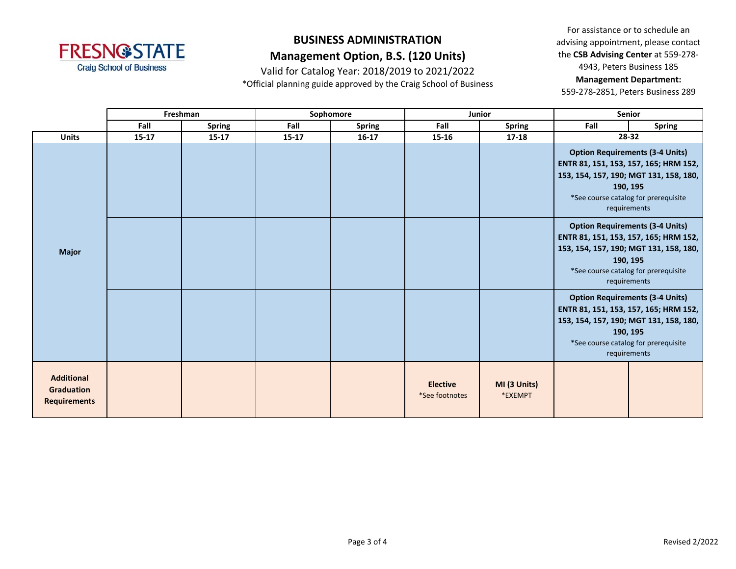

Valid for Catalog Year: 2018/2019 to 2021/2022

\*Official planning guide approved by the Craig School of Business

For assistance or to schedule an advising appointment, please contact the **CSB Advising Center** at 559-278- 4943, Peters Business 185 **Management Department:** 

|                                                               |           | Freshman      |           | Sophomore     |                                   | Junior                  | <b>Senior</b>                                                                                                                                                                                 |                                                                                                                                                     |
|---------------------------------------------------------------|-----------|---------------|-----------|---------------|-----------------------------------|-------------------------|-----------------------------------------------------------------------------------------------------------------------------------------------------------------------------------------------|-----------------------------------------------------------------------------------------------------------------------------------------------------|
|                                                               | Fall      | <b>Spring</b> | Fall      | <b>Spring</b> | Fall                              | <b>Spring</b>           | Fall                                                                                                                                                                                          | <b>Spring</b>                                                                                                                                       |
| <b>Units</b>                                                  | $15 - 17$ | $15 - 17$     | $15 - 17$ | $16 - 17$     | $15 - 16$                         | $17 - 18$               | 28-32                                                                                                                                                                                         |                                                                                                                                                     |
|                                                               |           |               |           |               |                                   |                         | <b>Option Requirements (3-4 Units)</b><br>ENTR 81, 151, 153, 157, 165; HRM 152,<br>153, 154, 157, 190; MGT 131, 158, 180,<br>190, 195<br>*See course catalog for prerequisite<br>requirements |                                                                                                                                                     |
| <b>Major</b>                                                  |           |               |           |               |                                   |                         | 153, 154, 157, 190; MGT 131, 158, 180,                                                                                                                                                        | <b>Option Requirements (3-4 Units)</b><br>ENTR 81, 151, 153, 157, 165; HRM 152,<br>190, 195<br>*See course catalog for prerequisite<br>requirements |
|                                                               |           |               |           |               |                                   |                         | 153, 154, 157, 190; MGT 131, 158, 180,<br>190, 195                                                                                                                                            | <b>Option Requirements (3-4 Units)</b><br>ENTR 81, 151, 153, 157, 165; HRM 152,<br>*See course catalog for prerequisite<br>requirements             |
| <b>Additional</b><br><b>Graduation</b><br><b>Requirements</b> |           |               |           |               | <b>Elective</b><br>*See footnotes | MI (3 Units)<br>*EXEMPT |                                                                                                                                                                                               |                                                                                                                                                     |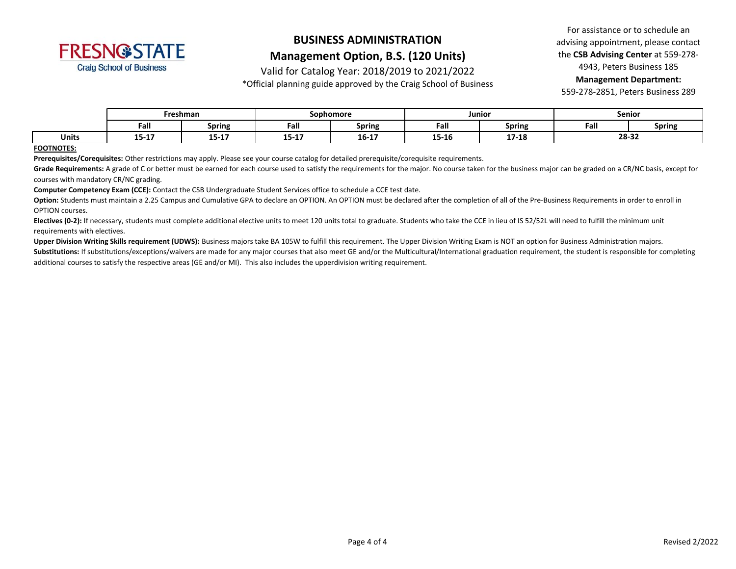

Valid for Catalog Year: 2018/2019 to 2021/2022

\*Official planning guide approved by the Craig School of Business

For assistance or to schedule an advising appointment, please contact the **CSB Advising Center** at 559-278- 4943, Peters Business 185 **Management Department:** 

559-278-2851, Peters Business 289

|              | Freshman    |                  | Sophomore |             | Junior |               | <b>Senior</b> |               |
|--------------|-------------|------------------|-----------|-------------|--------|---------------|---------------|---------------|
|              | Fall        | <b>Spring</b>    | Fall      | Spring      | Fall   | <b>Spring</b> | Fall          | <b>Spring</b> |
| <b>Units</b> | --<br>יד-כד | 1 E 1 7<br>13-T) | $15 - 17$ | $16-1$<br>. | 15-16  | 17.10         | 28-32         |               |

#### **FOOTNOTES:**

**Prerequisites/Corequisites:** Other restrictions may apply. Please see your course catalog for detailed prerequisite/corequisite requirements.

Grade Requirements: A grade of C or better must be earned for each course used to satisfy the requirements for the major. No course taken for the business major can be graded on a CR/NC basis, except for courses with mandatory CR/NC grading.

**Computer Competency Exam (CCE):** Contact the CSB Undergraduate Student Services office to schedule a CCE test date.

Option: Students must maintain a 2.25 Campus and Cumulative GPA to declare an OPTION. An OPTION must be declared after the completion of all of the Pre-Business Requirements in order to enroll in OPTION courses.

**Electives (0-2):** If necessary, students must complete additional elective units to meet 120 units total to graduate. Students who take the CCE in lieu of IS 52/52L will need to fulfill the minimum unit requirements with electives.

**Upper Division Writing Skills requirement (UDWS):** Business majors take BA 105W to fulfill this requirement. The Upper Division Writing Exam is NOT an option for Business Administration majors.

Substitutions: If substitutions/exceptions/waivers are made for any major courses that also meet GE and/or the Multicultural/International graduation requirement, the student is responsible for completing additional courses to satisfy the respective areas (GE and/or MI). This also includes the upperdivision writing requirement.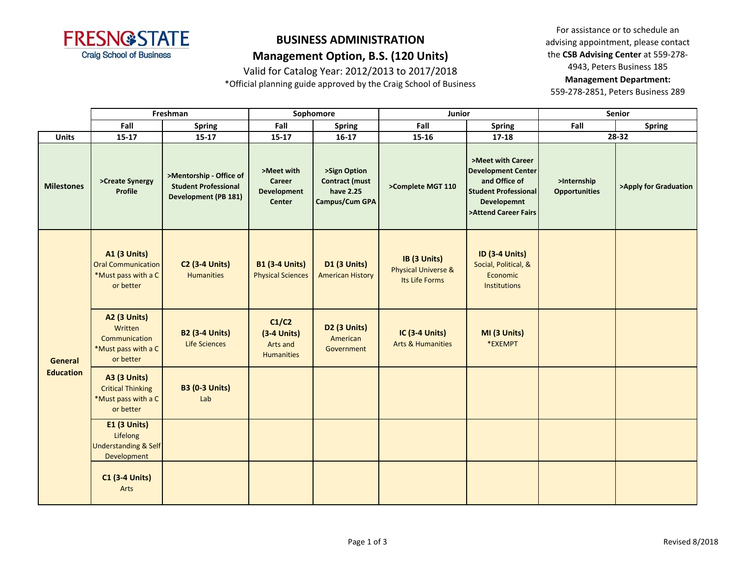

Valid for Catalog Year: 2012/2013 to 2017/2018

\*Official planning guide approved by the Craig School of Business

For assistance or to schedule an advising appointment, please contact the **CSB Advising Center** at 559-278- 4943, Peters Business 185 **Management Department:** 

|                             | Freshman                                                                            |                                                                                       | Sophomore                                                   |                                                               | Junior                                                           |                                                                                                                                              | <b>Senior</b>                       |                       |
|-----------------------------|-------------------------------------------------------------------------------------|---------------------------------------------------------------------------------------|-------------------------------------------------------------|---------------------------------------------------------------|------------------------------------------------------------------|----------------------------------------------------------------------------------------------------------------------------------------------|-------------------------------------|-----------------------|
|                             | Fall                                                                                | <b>Spring</b>                                                                         | Fall                                                        | <b>Spring</b>                                                 | Fall                                                             | <b>Spring</b>                                                                                                                                | Fall                                | <b>Spring</b>         |
| <b>Units</b>                | $15-17$                                                                             | $15 - 17$                                                                             | $15-17$                                                     | $16-17$                                                       | $15 - 16$                                                        | $17 - 18$                                                                                                                                    |                                     | 28-32                 |
| <b>Milestones</b>           | >Create Synergy<br>Profile                                                          | >Mentorship - Office of<br><b>Student Professional</b><br><b>Development (PB 181)</b> | >Meet with<br>Career<br><b>Development</b><br><b>Center</b> | >Sign Option<br>Contract (must<br>have 2.25<br>Campus/Cum GPA | >Complete MGT 110                                                | >Meet with Career<br><b>Development Center</b><br>and Office of<br><b>Student Professional</b><br><b>Developemnt</b><br>>Attend Career Fairs | >Internship<br><b>Opportunities</b> | >Apply for Graduation |
| General<br><b>Education</b> | A1 (3 Units)<br><b>Oral Communication</b><br>*Must pass with a C<br>or better       | <b>C2 (3-4 Units)</b><br><b>Humanities</b>                                            | <b>B1 (3-4 Units)</b><br><b>Physical Sciences</b>           | <b>D1 (3 Units)</b><br><b>American History</b>                | IB (3 Units)<br><b>Physical Universe &amp;</b><br>Its Life Forms | <b>ID (3-4 Units)</b><br>Social, Political, &<br>Economic<br><b>Institutions</b>                                                             |                                     |                       |
|                             | <b>A2 (3 Units)</b><br>Written<br>Communication<br>*Must pass with a C<br>or better | <b>B2 (3-4 Units)</b><br><b>Life Sciences</b>                                         | C1/C2<br>$(3-4$ Units)<br>Arts and<br><b>Humanities</b>     | D <sub>2</sub> (3 Units)<br>American<br>Government            | <b>IC (3-4 Units)</b><br><b>Arts &amp; Humanities</b>            | MI (3 Units)<br>*EXEMPT                                                                                                                      |                                     |                       |
|                             | <b>A3 (3 Units)</b><br><b>Critical Thinking</b><br>*Must pass with a C<br>or better | <b>B3 (0-3 Units)</b><br>Lab                                                          |                                                             |                                                               |                                                                  |                                                                                                                                              |                                     |                       |
|                             | <b>E1 (3 Units)</b><br>Lifelong<br><b>Understanding &amp; Self</b><br>Development   |                                                                                       |                                                             |                                                               |                                                                  |                                                                                                                                              |                                     |                       |
|                             | <b>C1 (3-4 Units)</b><br>Arts                                                       |                                                                                       |                                                             |                                                               |                                                                  |                                                                                                                                              |                                     |                       |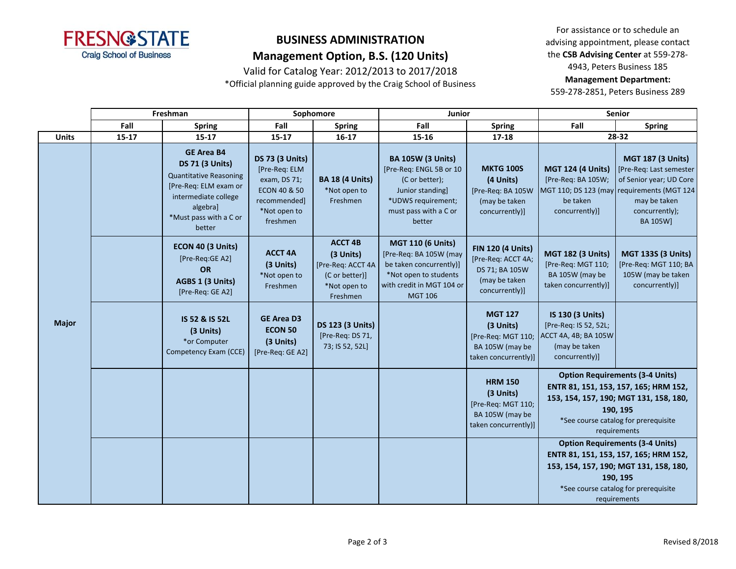

Valid for Catalog Year: 2012/2013 to 2017/2018

\*Official planning guide approved by the Craig School of Business

For assistance or to schedule an advising appointment, please contact the **CSB Advising Center** at 559-278- 4943, Peters Business 185 **Management Department:** 

|              |           | Freshman                                                                                                                                                                      | Sophomore                                                                                                                      |                                                                                                | Junior                                                                                                                                                |                                                                                                     | <b>Senior</b>                                                                                                                                                                                 |                                                                                                                                                                                               |
|--------------|-----------|-------------------------------------------------------------------------------------------------------------------------------------------------------------------------------|--------------------------------------------------------------------------------------------------------------------------------|------------------------------------------------------------------------------------------------|-------------------------------------------------------------------------------------------------------------------------------------------------------|-----------------------------------------------------------------------------------------------------|-----------------------------------------------------------------------------------------------------------------------------------------------------------------------------------------------|-----------------------------------------------------------------------------------------------------------------------------------------------------------------------------------------------|
|              | Fall      | <b>Spring</b>                                                                                                                                                                 | Fall                                                                                                                           | <b>Spring</b>                                                                                  | Fall                                                                                                                                                  | <b>Spring</b>                                                                                       | Fall                                                                                                                                                                                          | <b>Spring</b>                                                                                                                                                                                 |
| <b>Units</b> | $15 - 17$ | $15 - 17$                                                                                                                                                                     | $15 - 17$                                                                                                                      | $16 - 17$                                                                                      | $15 - 16$                                                                                                                                             | $17 - 18$                                                                                           |                                                                                                                                                                                               | 28-32                                                                                                                                                                                         |
|              |           | <b>GE Area B4</b><br><b>DS 71 (3 Units)</b><br><b>Quantitative Reasoning</b><br>[Pre-Req: ELM exam or<br>intermediate college<br>algebra]<br>*Must pass with a C or<br>better | <b>DS 73 (3 Units)</b><br>[Pre-Req: ELM<br>exam, DS 71;<br><b>ECON 40 &amp; 50</b><br>recommended]<br>*Not open to<br>freshmen | <b>BA 18 (4 Units)</b><br>*Not open to<br>Freshmen                                             | <b>BA 105W (3 Units)</b><br>[Pre-Req: ENGL 5B or 10<br>(C or better);<br>Junior standing]<br>*UDWS requirement;<br>must pass with a C or<br>better    | <b>MKTG 100S</b><br>(4 Units)<br>[Pre-Req: BA 105W<br>(may be taken<br>concurrently)]               | <b>MGT 124 (4 Units)</b><br>[Pre-Req: BA 105W;<br>MGT 110; DS 123 (may<br>be taken<br>concurrently)]                                                                                          | <b>MGT 187 (3 Units)</b><br>[Pre-Req: Last semester<br>of Senior year; UD Core<br>requirements (MGT 124<br>may be taken<br>concurrently);<br><b>BA 105W]</b>                                  |
|              |           | ECON 40 (3 Units)<br>[Pre-Req:GE A2]<br><b>OR</b><br>AGBS 1 (3 Units)<br>[Pre-Req: GE A2]                                                                                     | <b>ACCT 4A</b><br>(3 Units)<br>*Not open to<br>Freshmen                                                                        | <b>ACCT 4B</b><br>(3 Units)<br>[Pre-Req: ACCT 4A<br>(C or better)]<br>*Not open to<br>Freshmen | <b>MGT 110 (6 Units)</b><br>[Pre-Req: BA 105W (may<br>be taken concurrently)]<br>*Not open to students<br>with credit in MGT 104 or<br><b>MGT 106</b> | <b>FIN 120 (4 Units)</b><br>[Pre-Req: ACCT 4A;<br>DS 71; BA 105W<br>(may be taken<br>concurrently)] | <b>MGT 182 (3 Units)</b><br>[Pre-Req: MGT 110;<br>BA 105W (may be<br>taken concurrently)]                                                                                                     | <b>MGT 133S (3 Units)</b><br>[Pre-Req: MGT 110; BA<br>105W (may be taken<br>concurrently)]                                                                                                    |
| <b>Major</b> |           | IS 52 & IS 52L<br>(3 Units)<br>*or Computer<br>Competency Exam (CCE)                                                                                                          | <b>GE Area D3</b><br><b>ECON 50</b><br>(3 Units)<br>[Pre-Req: GE A2]                                                           | <b>DS 123 (3 Units)</b><br>[Pre-Req: DS 71,<br>73; IS 52, 52L]                                 |                                                                                                                                                       | <b>MGT 127</b><br>(3 Units)<br>[Pre-Req: MGT 110;<br>BA 105W (may be<br>taken concurrently)]        | IS 130 (3 Units)<br>[Pre-Req: IS 52, 52L;<br>ACCT 4A, 4B; BA 105W<br>(may be taken<br>concurrently)]                                                                                          |                                                                                                                                                                                               |
|              |           |                                                                                                                                                                               |                                                                                                                                |                                                                                                |                                                                                                                                                       | <b>HRM 150</b><br>(3 Units)<br>[Pre-Req: MGT 110;<br>BA 105W (may be<br>taken concurrently)]        |                                                                                                                                                                                               | <b>Option Requirements (3-4 Units)</b><br>ENTR 81, 151, 153, 157, 165; HRM 152,<br>153, 154, 157, 190; MGT 131, 158, 180,<br>190, 195<br>*See course catalog for prerequisite<br>requirements |
|              |           |                                                                                                                                                                               |                                                                                                                                |                                                                                                |                                                                                                                                                       |                                                                                                     | <b>Option Requirements (3-4 Units)</b><br>ENTR 81, 151, 153, 157, 165; HRM 152,<br>153, 154, 157, 190; MGT 131, 158, 180,<br>190, 195<br>*See course catalog for prerequisite<br>requirements |                                                                                                                                                                                               |